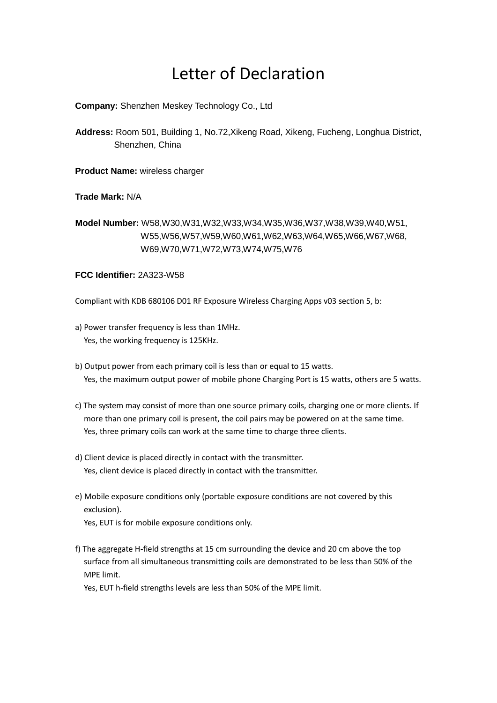## Letter of Declaration

**Company:** Shenzhen Meskey Technology Co., Ltd

**Address:** Room 501, Building 1, No.72,Xikeng Road, Xikeng, Fucheng, Longhua District, Shenzhen, China

**Product Name:** wireless charger

**Trade Mark:** N/A

**Model Number:** W58,W30,W31,W32,W33,W34,W35,W36,W37,W38,W39,W40,W51, W55,W56,W57,W59,W60,W61,W62,W63,W64,W65,W66,W67,W68, W69,W70,W71,W72,W73,W74,W75,W76

## **FCC Identifier:** 2A323-W58

Compliant with KDB 680106 D01 RF Exposure Wireless Charging Apps v03 section 5, b:

- a) Power transfer frequency is less than 1MHz. Yes, the working frequency is 125KHz.
- b) Output power from each primary coil is less than or equal to 15 watts. Yes, the maximum output power of mobile phone Charging Port is 15 watts, others are 5 watts.
- c) The system may consist of more than one source primary coils, charging one or more clients. If more than one primary coil is present, the coil pairs may be powered on at the same time. Yes, three primary coils can work at the same time to charge three clients.
- d) Client device is placed directly in contact with the transmitter. Yes, client device is placed directly in contact with the transmitter.
- e) Mobile exposure conditions only (portable exposure conditions are not covered by this exclusion). Yes, EUT is for mobile exposure conditions only.
- f) The aggregate H-field strengths at 15 cm surrounding the device and 20 cm above the top surface from all simultaneous transmitting coils are demonstrated to be less than 50% of the MPE limit.

Yes, EUT h-field strengths levels are less than 50% of the MPE limit.